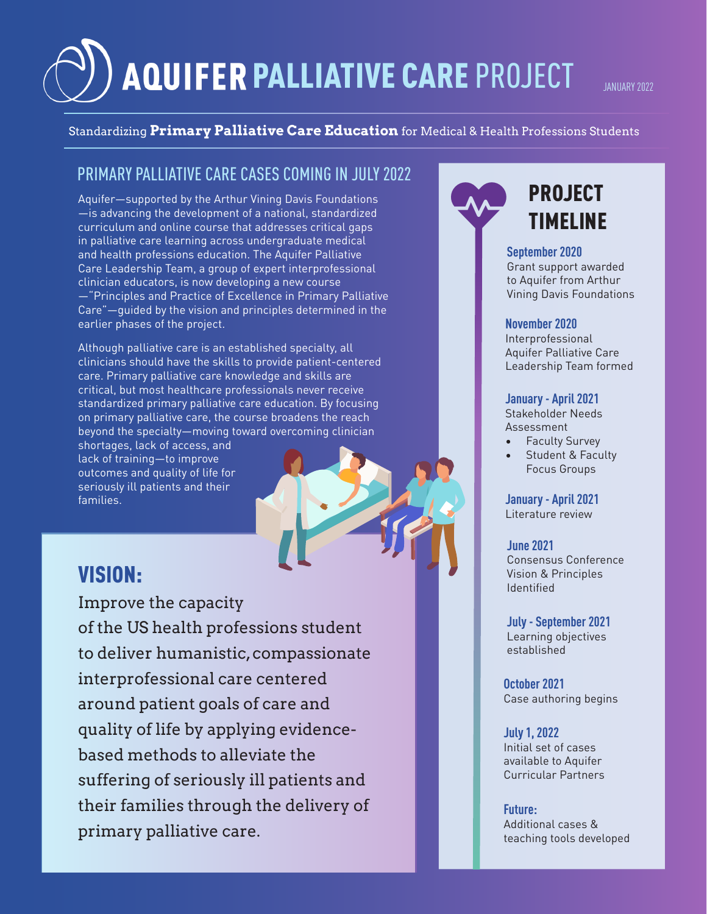# AQUIFER PALLIATIVE CARE PROJECT

JANIJARY 2022

### Standardizing **Primary Palliative Care Education** for Medical & Health Professions Students

### PRIMARY PALLIATIVE CARE CASES COMING IN JULY 2022

Aquifer—supported by the Arthur Vining Davis Foundations —is advancing the development of a national, standardized curriculum and online course that addresses critical gaps in palliative care learning across undergraduate medical and health professions education. The Aquifer Palliative Care Leadership Team, a group of expert interprofessional clinician educators, is now developing a new course —"Principles and Practice of Excellence in Primary Palliative Care"—guided by the vision and principles determined in the earlier phases of the project.

Although palliative care is an established specialty, all clinicians should have the skills to provide patient-centered care. Primary palliative care knowledge and skills are critical, but most healthcare professionals never receive standardized primary palliative care education. By focusing on primary palliative care, the course broadens the reach beyond the specialty—moving toward overcoming clinician

shortages, lack of access, and lack of training—to improve outcomes and quality of life for seriously ill patients and their families.

### VISION:

Improve the capacity of the US health professions student to deliver humanistic, compassionate interprofessional care centered around patient goals of care and quality of life by applying evidencebased methods to alleviate the suffering of seriously ill patients and their families through the delivery of primary palliative care.



### PROJECT TIMELINE

#### **September 2020**

Grant support awarded to Aquifer from Arthur Vining Davis Foundations

#### **November 2020**

Interprofessional Aquifer Palliative Care Leadership Team formed

#### **January - April 2021**

Stakeholder Needs Assessment

- Faculty Survey
- Student & Faculty Focus Groups

**January - April 2021** Literature review

**June 2021** Consensus Conference Vision & Principles Identified

**July - September 2021** Learning objectives established

**October 2021** Case authoring begins

**July 1, 2022** Initial set of cases available to Aquifer Curricular Partners

#### **Future:**

Additional cases & teaching tools developed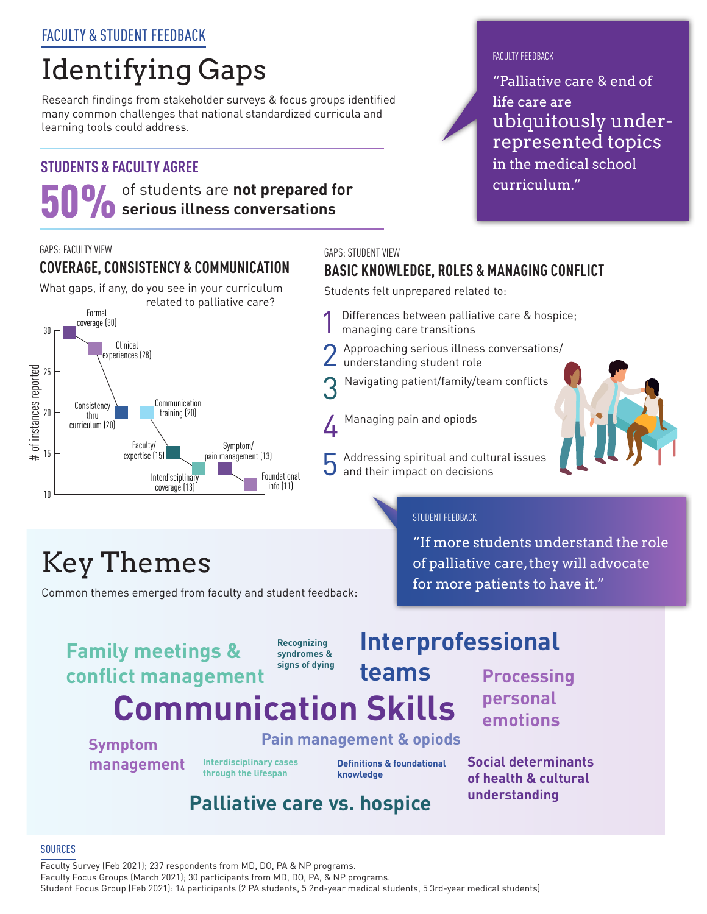### FACULTY & STUDENT FEEDBACK

# Identifying Gaps

Research findings from stakeholder surveys & focus groups identified many common challenges that national standardized curricula and learning tools could address.

### **STUDENTS & FACULTY AGREE**

# 50% of students are **not prepared for serious illness conversations**

#### GAPS: FACULTY VIEW

### **COVERAGE, CONSISTENCY & COMMUNICATION**

What gaps, if any, do you see in your curriculum related to palliative care?



#### GAPS: STUDENT VIEW

### **BASIC KNOWLEDGE, ROLES & MANAGING CONFLICT**

Students felt unprepared related to:

- Differences between palliative care & hospice; managing care transitions
- Approaching serious illness conversations/ understanding student role
- Navigating patient/family/team conflicts
- A Managing pain and opiods
	- 5 Addressing spiritual and cultural issues and their impact on decisions



# Key Themes

Common themes emerged from faculty and student feedback:

### STUDENT FEEDBACK

"If more students understand the role of palliative care, they will advocate for more patients to have it."

### **Communication Skills Family meetings & conflict management**

**Recognizing syndromes & signs of dying**

### **Interprofessional**

**Processing personal emotions**

**Symptom management** **Pain management & opiods**

**Interdisciplinary cases through the lifespan**

**Definitions & foundational knowledge**

**teams**

**Social determinants of health & cultural understanding**

### **Palliative care vs. hospice**

#### **SOURCES**

Faculty Survey (Feb 2021); 237 respondents from MD, DO, PA & NP programs. Faculty Focus Groups (March 2021); 30 participants from MD, DO, PA, & NP programs. Student Focus Group (Feb 2021): 14 participants (2 PA students, 5 2nd-year medical students, 5 3rd-year medical students)



### FACULTY FFFDRACK

"Palliative care & end of life care are ubiquitously underrepresented topics in the medical school curriculum."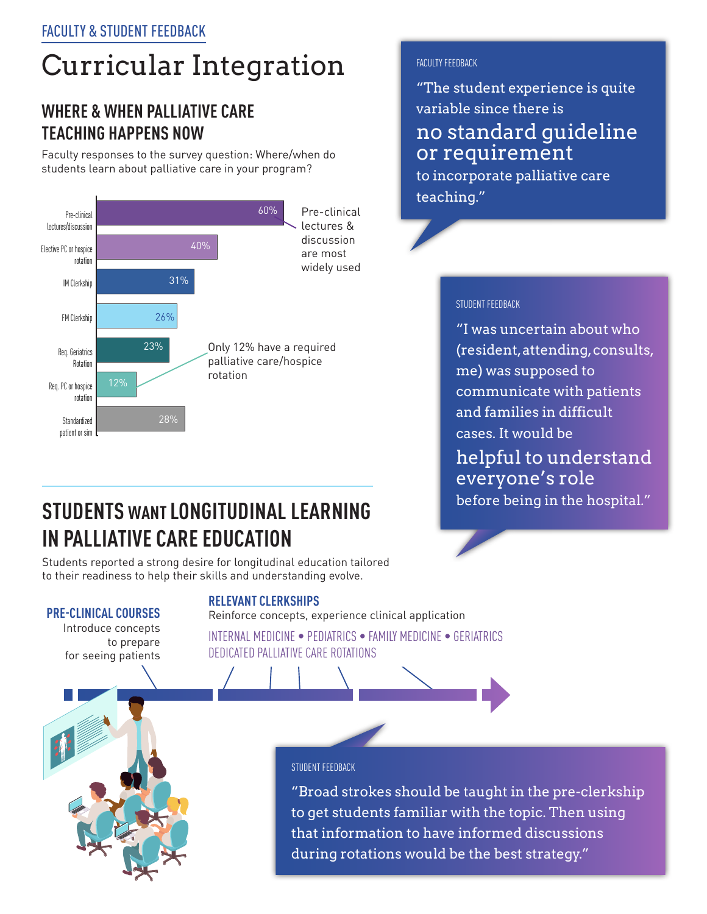# Curricular Integration

### **WHERE & WHEN PALLIATIVE CARE TEACHING HAPPENS NOW**

Faculty responses to the survey question: Where/when do students learn about palliative care in your program?



### FACULTY FFFDBACK

"The student experience is quite variable since there is no standard guideline or requirement

to incorporate palliative care teaching."

### STUDENT FEEDBACK

"I was uncertain about who (resident, attending, consults, me) was supposed to communicate with patients and families in difficult cases. It would be helpful to understand everyone's role before being in the hospital."

### **STUDENTS WANT LONGITUDINAL LEARNING IN PALLIATIVE CARE EDUCATION**

Students reported a strong desire for longitudinal education tailored to their readiness to help their skills and understanding evolve.

**RELEVANT CLERKSHIPS** 

### **PRE-CLINICAL COURSES**

Introduce concepts to prepare for seeing patients

Reinforce concepts, experience clinical application INTERNAL MEDICINE • PEDIATRICS • FAMILY MEDICINE • GERIATRICS DEDICATED PALLIATIVE CARE ROTATIONS

#### STUDENT FEEDBACK

"Broad strokes should be taught in the pre-clerkship to get students familiar with the topic. Then using that information to have informed discussions during rotations would be the best strategy."